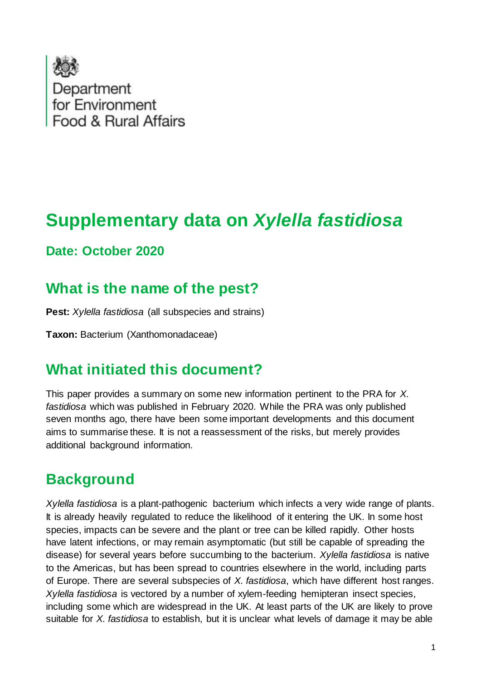

# **Supplementary data on** *Xylella fastidiosa*

### **Date: October 2020**

### **What is the name of the pest?**

**Pest:** *Xylella fastidiosa* (all subspecies and strains)

**Taxon:** Bacterium (Xanthomonadaceae)

### **What initiated this document?**

This paper provides a summary on some new information pertinent to the PRA for *X. fastidiosa* which was published in February 2020. While the PRA was only published seven months ago, there have been some important developments and this document aims to summarise these. It is not a reassessment of the risks, but merely provides additional background information.

### **Background**

*Xylella fastidiosa* is a plant-pathogenic bacterium which infects a very wide range of plants. It is already heavily regulated to reduce the likelihood of it entering the UK. In some host species, impacts can be severe and the plant or tree can be killed rapidly. Other hosts have latent infections, or may remain asymptomatic (but still be capable of spreading the disease) for several years before succumbing to the bacterium. *Xylella fastidiosa* is native to the Americas, but has been spread to countries elsewhere in the world, including parts of Europe. There are several subspecies of *X. fastidiosa*, which have different host ranges. *Xylella fastidiosa* is vectored by a number of xylem-feeding hemipteran insect species, including some which are widespread in the UK. At least parts of the UK are likely to prove suitable for *X. fastidiosa* to establish, but it is unclear what levels of damage it may be able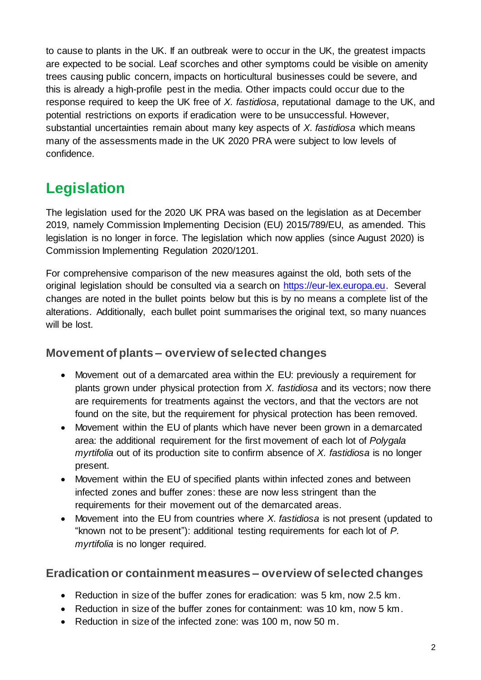to cause to plants in the UK. If an outbreak were to occur in the UK, the greatest impacts are expected to be social. Leaf scorches and other symptoms could be visible on amenity trees causing public concern, impacts on horticultural businesses could be severe, and this is already a high-profile pest in the media. Other impacts could occur due to the response required to keep the UK free of *X. fastidiosa*, reputational damage to the UK, and potential restrictions on exports if eradication were to be unsuccessful. However, substantial uncertainties remain about many key aspects of *X. fastidiosa* which means many of the assessments made in the UK 2020 PRA were subject to low levels of confidence.

## **Legislation**

The legislation used for the 2020 UK PRA was based on the legislation as at December 2019, namely Commission Implementing Decision (EU) 2015/789/EU, as amended. This legislation is no longer in force. The legislation which now applies (since August 2020) is Commission Implementing Regulation 2020/1201.

For comprehensive comparison of the new measures against the old, both sets of the original legislation should be consulted via a search on [https://eur-lex.europa.eu.](https://eur-lex.europa.eu/) Several changes are noted in the bullet points below but this is by no means a complete list of the alterations. Additionally, each bullet point summarises the original text, so many nuances will be lost.

#### **Movement of plants – overview of selected changes**

- Movement out of a demarcated area within the EU: previously a requirement for plants grown under physical protection from *X. fastidiosa* and its vectors; now there are requirements for treatments against the vectors, and that the vectors are not found on the site, but the requirement for physical protection has been removed.
- Movement within the EU of plants which have never been grown in a demarcated area: the additional requirement for the first movement of each lot of *Polygala myrtifolia* out of its production site to confirm absence of *X. fastidiosa* is no longer present.
- Movement within the EU of specified plants within infected zones and between infected zones and buffer zones: these are now less stringent than the requirements for their movement out of the demarcated areas.
- Movement into the EU from countries where *X. fastidiosa* is not present (updated to "known not to be present"): additional testing requirements for each lot of *P. myrtifolia* is no longer required.

#### **Eradication or containment measures – overview of selected changes**

- Reduction in size of the buffer zones for eradication: was 5 km, now 2.5 km.
- Reduction in size of the buffer zones for containment: was 10 km, now 5 km.
- Reduction in size of the infected zone: was 100 m, now 50 m.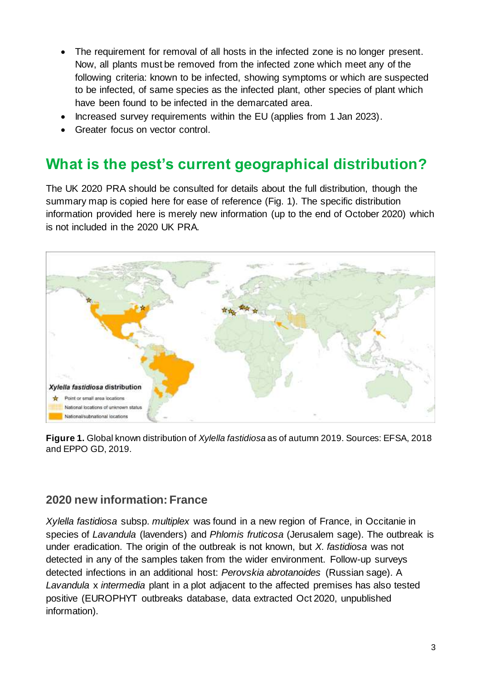- The requirement for removal of all hosts in the infected zone is no longer present. Now, all plants must be removed from the infected zone which meet any of the following criteria: known to be infected, showing symptoms or which are suspected to be infected, of same species as the infected plant, other species of plant which have been found to be infected in the demarcated area.
- Increased survey requirements within the EU (applies from 1 Jan 2023).
- Greater focus on vector control.

## **What is the pest's current geographical distribution?**

The UK 2020 PRA should be consulted for details about the full distribution, though the summary map is copied here for ease of reference (Fig. 1). The specific distribution information provided here is merely new information (up to the end of October 2020) which is not included in the 2020 UK PRA.



**Figure 1.** Global known distribution of *Xylella fastidiosa* as of autumn 2019. Sources: EFSA, 2018 and EPPO GD, 2019.

#### **2020 new information: France**

*Xylella fastidiosa* subsp. *multiplex* was found in a new region of France, in Occitanie in species of *Lavandula* (lavenders) and *Phlomis fruticosa* (Jerusalem sage). The outbreak is under eradication. The origin of the outbreak is not known, but *X. fastidiosa* was not detected in any of the samples taken from the wider environment. Follow-up surveys detected infections in an additional host: *Perovskia abrotanoides* (Russian sage). A *Lavandula* x *intermedia* plant in a plot adjacent to the affected premises has also tested positive (EUROPHYT outbreaks database, data extracted Oct 2020, unpublished information).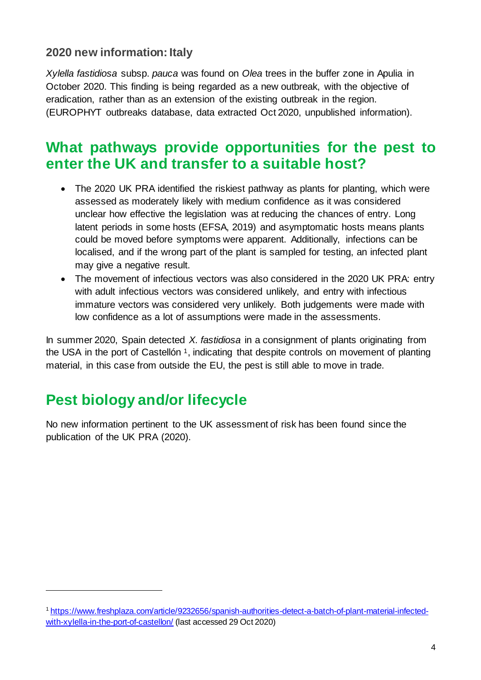#### **2020 new information: Italy**

*Xylella fastidiosa* subsp. *pauca* was found on *Olea* trees in the buffer zone in Apulia in October 2020. This finding is being regarded as a new outbreak, with the objective of eradication, rather than as an extension of the existing outbreak in the region. (EUROPHYT outbreaks database, data extracted Oct 2020, unpublished information).

### **What pathways provide opportunities for the pest to enter the UK and transfer to a suitable host?**

- The 2020 UK PRA identified the riskiest pathway as plants for planting, which were assessed as moderately likely with medium confidence as it was considered unclear how effective the legislation was at reducing the chances of entry. Long latent periods in some hosts (EFSA, 2019) and asymptomatic hosts means plants could be moved before symptoms were apparent. Additionally, infections can be localised, and if the wrong part of the plant is sampled for testing, an infected plant may give a negative result.
- The movement of infectious vectors was also considered in the 2020 UK PRA: entry with adult infectious vectors was considered unlikely, and entry with infectious immature vectors was considered very unlikely. Both judgements were made with low confidence as a lot of assumptions were made in the assessments.

In summer 2020, Spain detected *X. fastidiosa* in a consignment of plants originating from the USA in the port of Castellón<sup>1</sup>, indicating that despite controls on movement of planting material, in this case from outside the EU, the pest is still able to move in trade.

## **Pest biology and/or lifecycle**

-

No new information pertinent to the UK assessment of risk has been found since the publication of the UK PRA (2020).

<sup>1</sup> [https://www.freshplaza.com/article/9232656/spanish-authorities-detect-a-batch-of-plant-material-infected](https://www.freshplaza.com/article/9232656/spanish-authorities-detect-a-batch-of-plant-material-infected-with-xylella-in-the-port-of-castellon/)[with-xylella-in-the-port-of-castellon/](https://www.freshplaza.com/article/9232656/spanish-authorities-detect-a-batch-of-plant-material-infected-with-xylella-in-the-port-of-castellon/) (last accessed 29 Oct 2020)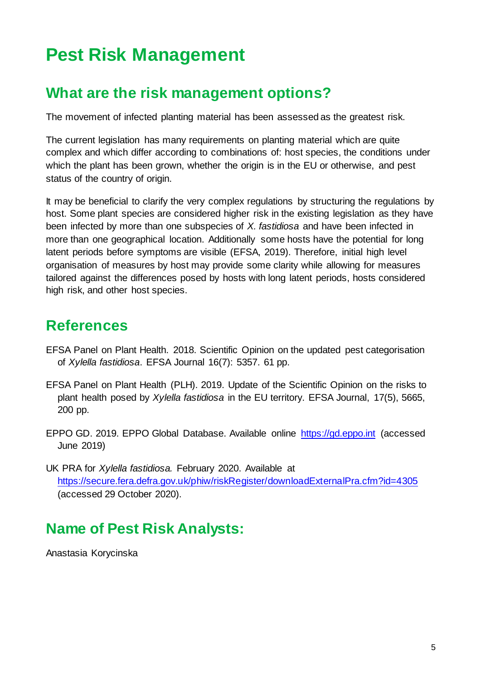# **Pest Risk Management**

## **What are the risk management options?**

The movement of infected planting material has been assessed as the greatest risk.

The current legislation has many requirements on planting material which are quite complex and which differ according to combinations of: host species, the conditions under which the plant has been grown, whether the origin is in the EU or otherwise, and pest status of the country of origin.

It may be beneficial to clarify the very complex regulations by structuring the regulations by host. Some plant species are considered higher risk in the existing legislation as they have been infected by more than one subspecies of *X. fastidiosa* and have been infected in more than one geographical location. Additionally some hosts have the potential for long latent periods before symptoms are visible (EFSA, 2019). Therefore, initial high level organisation of measures by host may provide some clarity while allowing for measures tailored against the differences posed by hosts with long latent periods, hosts considered high risk, and other host species.

## **References**

- EFSA Panel on Plant Health. 2018. Scientific Opinion on the updated pest categorisation of *Xylella fastidiosa*. EFSA Journal 16(7): 5357. 61 pp.
- EFSA Panel on Plant Health (PLH). 2019. Update of the Scientific Opinion on the risks to plant health posed by *Xylella fastidiosa* in the EU territory. EFSA Journal, 17(5), 5665, 200 pp.
- EPPO GD. 2019. EPPO Global Database. Available online [https://gd.eppo.int](https://gd.eppo.int/) (accessed June 2019)
- UK PRA for *Xylella fastidiosa.* February 2020. Available at <https://secure.fera.defra.gov.uk/phiw/riskRegister/downloadExternalPra.cfm?id=4305> (accessed 29 October 2020).

## **Name of Pest Risk Analysts:**

Anastasia Korycinska